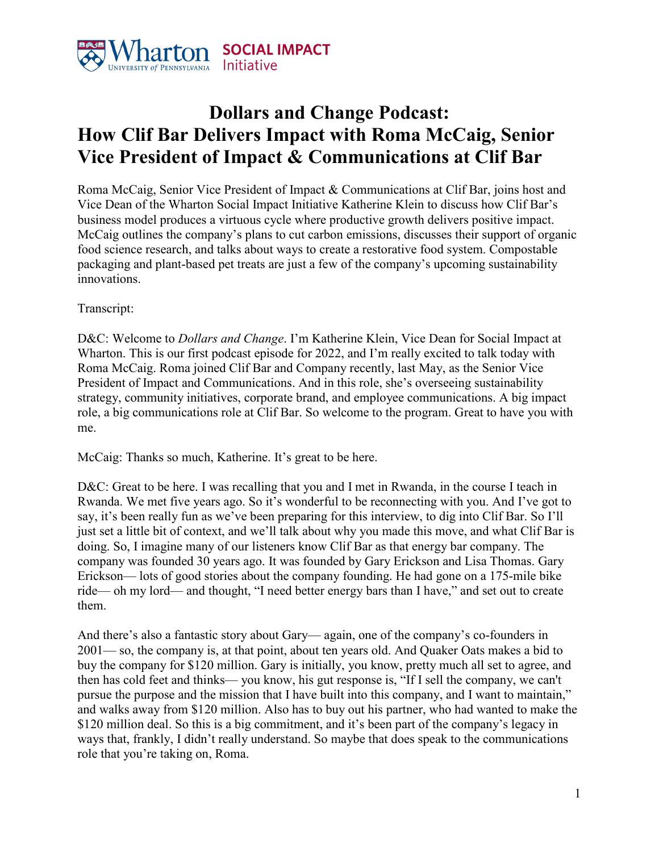

## **Dollars and Change Podcast: How Clif Bar Delivers Impact with Roma McCaig, Senior Vice President of Impact & Communications at Clif Bar**

Roma McCaig, Senior Vice President of Impact & Communications at Clif Bar, joins host and Vice Dean of the Wharton Social Impact Initiative Katherine Klein to discuss how Clif Bar's business model produces a virtuous cycle where productive growth delivers positive impact. McCaig outlines the company's plans to cut carbon emissions, discusses their support of organic food science research, and talks about ways to create a restorative food system. Compostable packaging and plant-based pet treats are just a few of the company's upcoming sustainability innovations.

## Transcript:

D&C: Welcome to *Dollars and Change*. I'm Katherine Klein, Vice Dean for Social Impact at Wharton. This is our first podcast episode for 2022, and I'm really excited to talk today with Roma McCaig. Roma joined Clif Bar and Company recently, last May, as the Senior Vice President of Impact and Communications. And in this role, she's overseeing sustainability strategy, community initiatives, corporate brand, and employee communications. A big impact role, a big communications role at Clif Bar. So welcome to the program. Great to have you with me.

McCaig: Thanks so much, Katherine. It's great to be here.

D&C: Great to be here. I was recalling that you and I met in Rwanda, in the course I teach in Rwanda. We met five years ago. So it's wonderful to be reconnecting with you. And I've got to say, it's been really fun as we've been preparing for this interview, to dig into Clif Bar. So I'll just set a little bit of context, and we'll talk about why you made this move, and what Clif Bar is doing. So, I imagine many of our listeners know Clif Bar as that energy bar company. The company was founded 30 years ago. It was founded by Gary Erickson and Lisa Thomas. Gary Erickson— lots of good stories about the company founding. He had gone on a 175-mile bike ride— oh my lord— and thought, "I need better energy bars than I have," and set out to create them.

And there's also a fantastic story about Gary— again, one of the company's co-founders in 2001— so, the company is, at that point, about ten years old. And Quaker Oats makes a bid to buy the company for \$120 million. Gary is initially, you know, pretty much all set to agree, and then has cold feet and thinks— you know, his gut response is, "If I sell the company, we can't pursue the purpose and the mission that I have built into this company, and I want to maintain," and walks away from \$120 million. Also has to buy out his partner, who had wanted to make the \$120 million deal. So this is a big commitment, and it's been part of the company's legacy in ways that, frankly, I didn't really understand. So maybe that does speak to the communications role that you're taking on, Roma.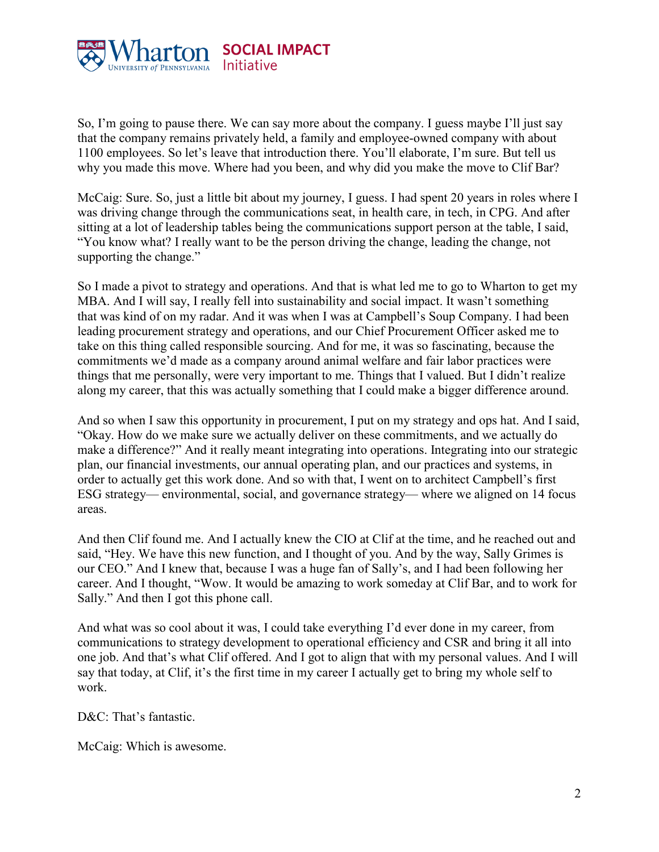

So, I'm going to pause there. We can say more about the company. I guess maybe I'll just say that the company remains privately held, a family and employee-owned company with about 1100 employees. So let's leave that introduction there. You'll elaborate, I'm sure. But tell us why you made this move. Where had you been, and why did you make the move to Clif Bar?

McCaig: Sure. So, just a little bit about my journey, I guess. I had spent 20 years in roles where I was driving change through the communications seat, in health care, in tech, in CPG. And after sitting at a lot of leadership tables being the communications support person at the table, I said, "You know what? I really want to be the person driving the change, leading the change, not supporting the change."

So I made a pivot to strategy and operations. And that is what led me to go to Wharton to get my MBA. And I will say, I really fell into sustainability and social impact. It wasn't something that was kind of on my radar. And it was when I was at Campbell's Soup Company. I had been leading procurement strategy and operations, and our Chief Procurement Officer asked me to take on this thing called responsible sourcing. And for me, it was so fascinating, because the commitments we'd made as a company around animal welfare and fair labor practices were things that me personally, were very important to me. Things that I valued. But I didn't realize along my career, that this was actually something that I could make a bigger difference around.

And so when I saw this opportunity in procurement, I put on my strategy and ops hat. And I said, "Okay. How do we make sure we actually deliver on these commitments, and we actually do make a difference?" And it really meant integrating into operations. Integrating into our strategic plan, our financial investments, our annual operating plan, and our practices and systems, in order to actually get this work done. And so with that, I went on to architect Campbell's first ESG strategy— environmental, social, and governance strategy— where we aligned on 14 focus areas.

And then Clif found me. And I actually knew the CIO at Clif at the time, and he reached out and said, "Hey. We have this new function, and I thought of you. And by the way, Sally Grimes is our CEO." And I knew that, because I was a huge fan of Sally's, and I had been following her career. And I thought, "Wow. It would be amazing to work someday at Clif Bar, and to work for Sally." And then I got this phone call.

And what was so cool about it was, I could take everything I'd ever done in my career, from communications to strategy development to operational efficiency and CSR and bring it all into one job. And that's what Clif offered. And I got to align that with my personal values. And I will say that today, at Clif, it's the first time in my career I actually get to bring my whole self to work.

D&C: That's fantastic.

McCaig: Which is awesome.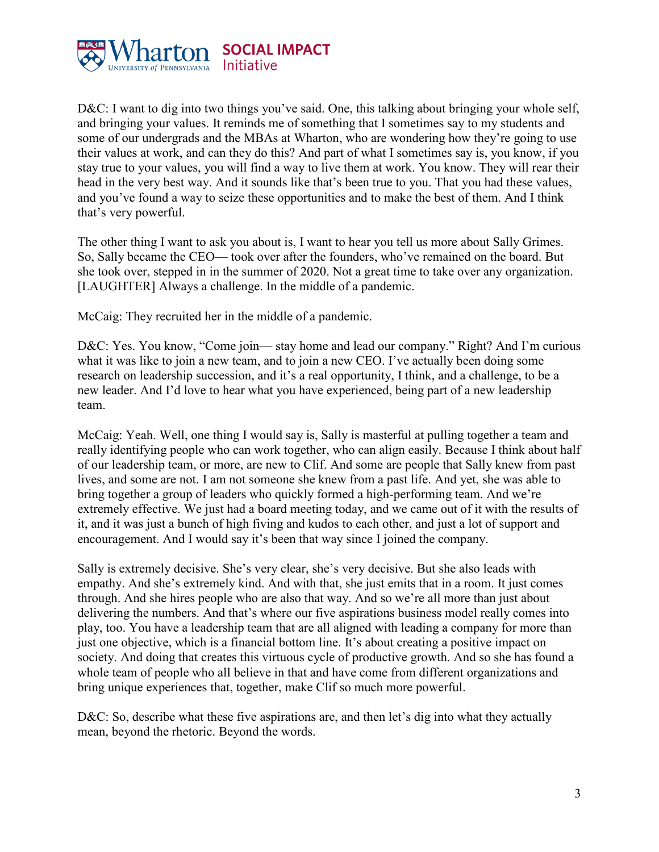

D&C: I want to dig into two things you've said. One, this talking about bringing your whole self, and bringing your values. It reminds me of something that I sometimes say to my students and some of our undergrads and the MBAs at Wharton, who are wondering how they're going to use their values at work, and can they do this? And part of what I sometimes say is, you know, if you stay true to your values, you will find a way to live them at work. You know. They will rear their head in the very best way. And it sounds like that's been true to you. That you had these values, and you've found a way to seize these opportunities and to make the best of them. And I think that's very powerful.

The other thing I want to ask you about is, I want to hear you tell us more about Sally Grimes. So, Sally became the CEO— took over after the founders, who've remained on the board. But she took over, stepped in in the summer of 2020. Not a great time to take over any organization. [LAUGHTER] Always a challenge. In the middle of a pandemic.

McCaig: They recruited her in the middle of a pandemic.

D&C: Yes. You know, "Come join— stay home and lead our company." Right? And I'm curious what it was like to join a new team, and to join a new CEO. I've actually been doing some research on leadership succession, and it's a real opportunity, I think, and a challenge, to be a new leader. And I'd love to hear what you have experienced, being part of a new leadership team.

McCaig: Yeah. Well, one thing I would say is, Sally is masterful at pulling together a team and really identifying people who can work together, who can align easily. Because I think about half of our leadership team, or more, are new to Clif. And some are people that Sally knew from past lives, and some are not. I am not someone she knew from a past life. And yet, she was able to bring together a group of leaders who quickly formed a high-performing team. And we're extremely effective. We just had a board meeting today, and we came out of it with the results of it, and it was just a bunch of high fiving and kudos to each other, and just a lot of support and encouragement. And I would say it's been that way since I joined the company.

Sally is extremely decisive. She's very clear, she's very decisive. But she also leads with empathy. And she's extremely kind. And with that, she just emits that in a room. It just comes through. And she hires people who are also that way. And so we're all more than just about delivering the numbers. And that's where our five aspirations business model really comes into play, too. You have a leadership team that are all aligned with leading a company for more than just one objective, which is a financial bottom line. It's about creating a positive impact on society. And doing that creates this virtuous cycle of productive growth. And so she has found a whole team of people who all believe in that and have come from different organizations and bring unique experiences that, together, make Clif so much more powerful.

D&C: So, describe what these five aspirations are, and then let's dig into what they actually mean, beyond the rhetoric. Beyond the words.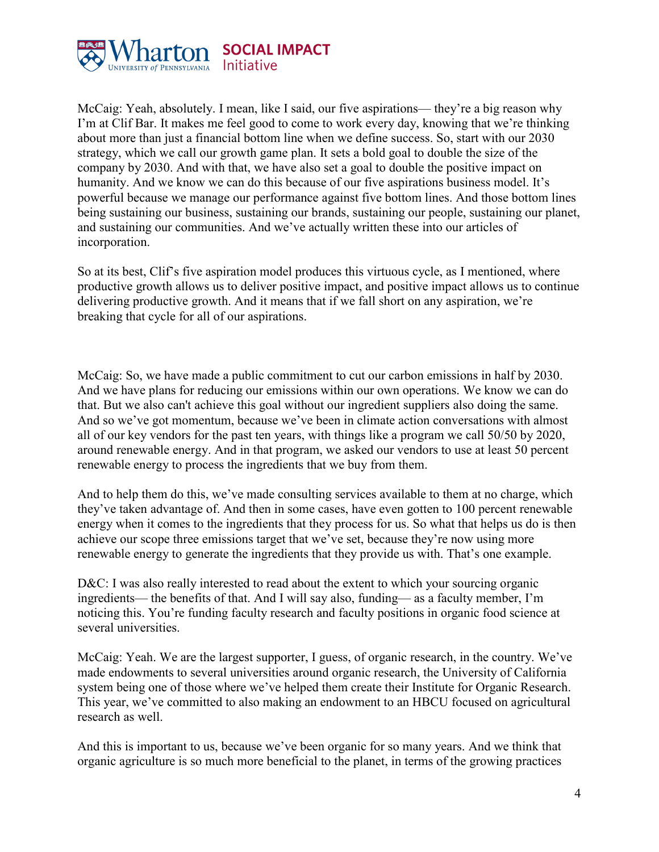

McCaig: Yeah, absolutely. I mean, like I said, our five aspirations— they're a big reason why I'm at Clif Bar. It makes me feel good to come to work every day, knowing that we're thinking about more than just a financial bottom line when we define success. So, start with our 2030 strategy, which we call our growth game plan. It sets a bold goal to double the size of the company by 2030. And with that, we have also set a goal to double the positive impact on humanity. And we know we can do this because of our five aspirations business model. It's powerful because we manage our performance against five bottom lines. And those bottom lines being sustaining our business, sustaining our brands, sustaining our people, sustaining our planet, and sustaining our communities. And we've actually written these into our articles of incorporation.

So at its best, Clif's five aspiration model produces this virtuous cycle, as I mentioned, where productive growth allows us to deliver positive impact, and positive impact allows us to continue delivering productive growth. And it means that if we fall short on any aspiration, we're breaking that cycle for all of our aspirations.

McCaig: So, we have made a public commitment to cut our carbon emissions in half by 2030. And we have plans for reducing our emissions within our own operations. We know we can do that. But we also can't achieve this goal without our ingredient suppliers also doing the same. And so we've got momentum, because we've been in climate action conversations with almost all of our key vendors for the past ten years, with things like a program we call 50/50 by 2020, around renewable energy. And in that program, we asked our vendors to use at least 50 percent renewable energy to process the ingredients that we buy from them.

And to help them do this, we've made consulting services available to them at no charge, which they've taken advantage of. And then in some cases, have even gotten to 100 percent renewable energy when it comes to the ingredients that they process for us. So what that helps us do is then achieve our scope three emissions target that we've set, because they're now using more renewable energy to generate the ingredients that they provide us with. That's one example.

D&C: I was also really interested to read about the extent to which your sourcing organic ingredients— the benefits of that. And I will say also, funding— as a faculty member, I'm noticing this. You're funding faculty research and faculty positions in organic food science at several universities.

McCaig: Yeah. We are the largest supporter, I guess, of organic research, in the country. We've made endowments to several universities around organic research, the University of California system being one of those where we've helped them create their Institute for Organic Research. This year, we've committed to also making an endowment to an HBCU focused on agricultural research as well.

And this is important to us, because we've been organic for so many years. And we think that organic agriculture is so much more beneficial to the planet, in terms of the growing practices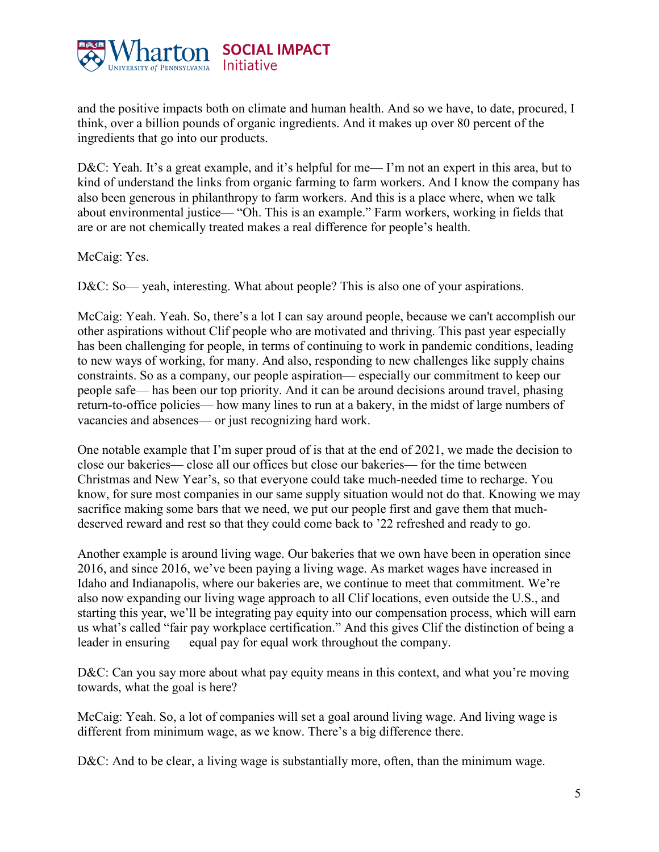

and the positive impacts both on climate and human health. And so we have, to date, procured, I think, over a billion pounds of organic ingredients. And it makes up over 80 percent of the ingredients that go into our products.

D&C: Yeah. It's a great example, and it's helpful for me— I'm not an expert in this area, but to kind of understand the links from organic farming to farm workers. And I know the company has also been generous in philanthropy to farm workers. And this is a place where, when we talk about environmental justice— "Oh. This is an example." Farm workers, working in fields that are or are not chemically treated makes a real difference for people's health.

McCaig: Yes.

D&C: So— yeah, interesting. What about people? This is also one of your aspirations.

McCaig: Yeah. Yeah. So, there's a lot I can say around people, because we can't accomplish our other aspirations without Clif people who are motivated and thriving. This past year especially has been challenging for people, in terms of continuing to work in pandemic conditions, leading to new ways of working, for many. And also, responding to new challenges like supply chains constraints. So as a company, our people aspiration— especially our commitment to keep our people safe— has been our top priority. And it can be around decisions around travel, phasing return-to-office policies— how many lines to run at a bakery, in the midst of large numbers of vacancies and absences— or just recognizing hard work.

One notable example that I'm super proud of is that at the end of 2021, we made the decision to close our bakeries— close all our offices but close our bakeries— for the time between Christmas and New Year's, so that everyone could take much-needed time to recharge. You know, for sure most companies in our same supply situation would not do that. Knowing we may sacrifice making some bars that we need, we put our people first and gave them that muchdeserved reward and rest so that they could come back to '22 refreshed and ready to go.

Another example is around living wage. Our bakeries that we own have been in operation since 2016, and since 2016, we've been paying a living wage. As market wages have increased in Idaho and Indianapolis, where our bakeries are, we continue to meet that commitment. We're also now expanding our living wage approach to all Clif locations, even outside the U.S., and starting this year, we'll be integrating pay equity into our compensation process, which will earn us what's called "fair pay workplace certification." And this gives Clif the distinction of being a leader in ensuring equal pay for equal work throughout the company.

D&C: Can you say more about what pay equity means in this context, and what you're moving towards, what the goal is here?

McCaig: Yeah. So, a lot of companies will set a goal around living wage. And living wage is different from minimum wage, as we know. There's a big difference there.

D&C: And to be clear, a living wage is substantially more, often, than the minimum wage.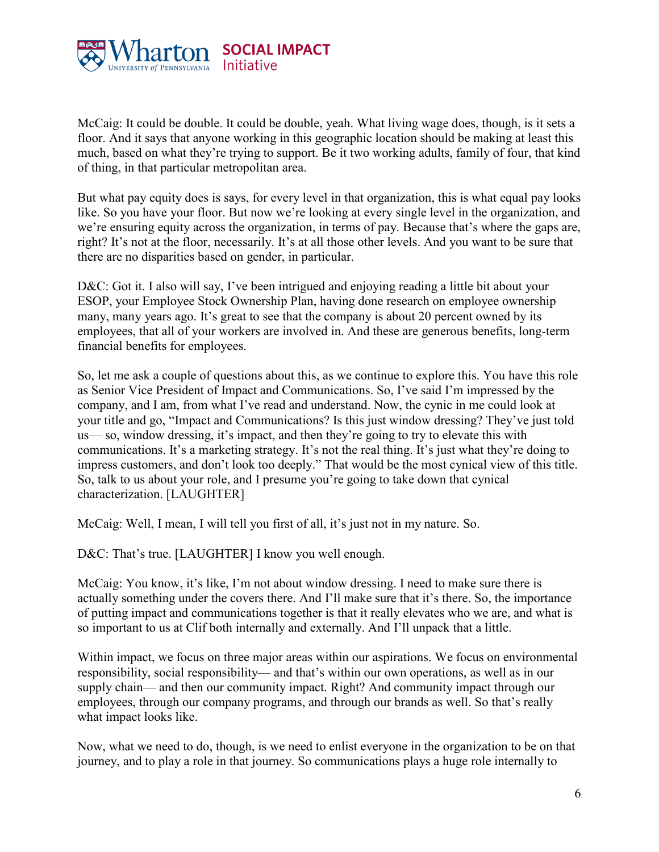

McCaig: It could be double. It could be double, yeah. What living wage does, though, is it sets a floor. And it says that anyone working in this geographic location should be making at least this much, based on what they're trying to support. Be it two working adults, family of four, that kind of thing, in that particular metropolitan area.

But what pay equity does is says, for every level in that organization, this is what equal pay looks like. So you have your floor. But now we're looking at every single level in the organization, and we're ensuring equity across the organization, in terms of pay. Because that's where the gaps are, right? It's not at the floor, necessarily. It's at all those other levels. And you want to be sure that there are no disparities based on gender, in particular.

D&C: Got it. I also will say, I've been intrigued and enjoying reading a little bit about your ESOP, your Employee Stock Ownership Plan, having done research on employee ownership many, many years ago. It's great to see that the company is about 20 percent owned by its employees, that all of your workers are involved in. And these are generous benefits, long-term financial benefits for employees.

So, let me ask a couple of questions about this, as we continue to explore this. You have this role as Senior Vice President of Impact and Communications. So, I've said I'm impressed by the company, and I am, from what I've read and understand. Now, the cynic in me could look at your title and go, "Impact and Communications? Is this just window dressing? They've just told us— so, window dressing, it's impact, and then they're going to try to elevate this with communications. It's a marketing strategy. It's not the real thing. It's just what they're doing to impress customers, and don't look too deeply." That would be the most cynical view of this title. So, talk to us about your role, and I presume you're going to take down that cynical characterization. [LAUGHTER]

McCaig: Well, I mean, I will tell you first of all, it's just not in my nature. So.

D&C: That's true. [LAUGHTER] I know you well enough.

McCaig: You know, it's like, I'm not about window dressing. I need to make sure there is actually something under the covers there. And I'll make sure that it's there. So, the importance of putting impact and communications together is that it really elevates who we are, and what is so important to us at Clif both internally and externally. And I'll unpack that a little.

Within impact, we focus on three major areas within our aspirations. We focus on environmental responsibility, social responsibility— and that's within our own operations, as well as in our supply chain— and then our community impact. Right? And community impact through our employees, through our company programs, and through our brands as well. So that's really what impact looks like.

Now, what we need to do, though, is we need to enlist everyone in the organization to be on that journey, and to play a role in that journey. So communications plays a huge role internally to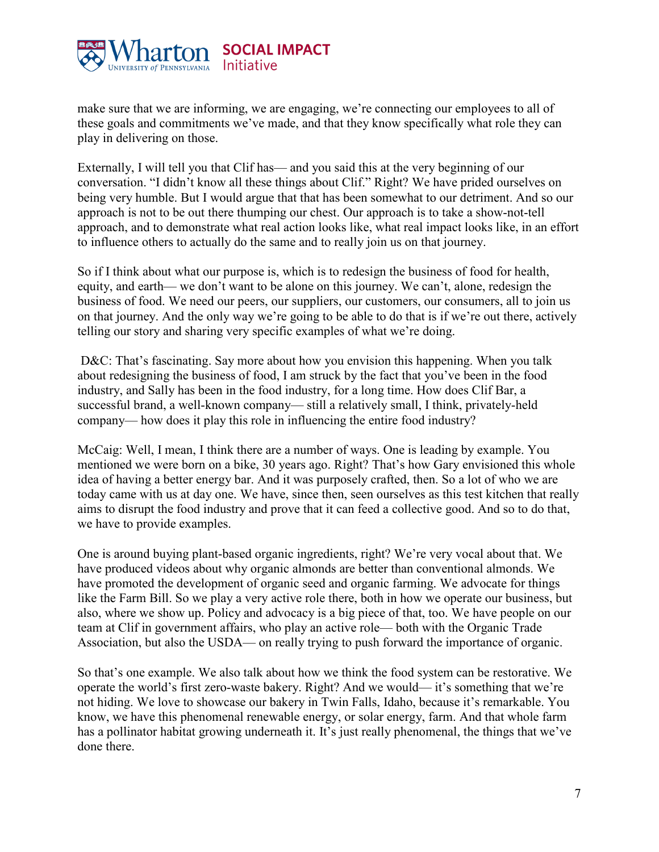

make sure that we are informing, we are engaging, we're connecting our employees to all of these goals and commitments we've made, and that they know specifically what role they can play in delivering on those.

Externally, I will tell you that Clif has— and you said this at the very beginning of our conversation. "I didn't know all these things about Clif." Right? We have prided ourselves on being very humble. But I would argue that that has been somewhat to our detriment. And so our approach is not to be out there thumping our chest. Our approach is to take a show-not-tell approach, and to demonstrate what real action looks like, what real impact looks like, in an effort to influence others to actually do the same and to really join us on that journey.

So if I think about what our purpose is, which is to redesign the business of food for health, equity, and earth— we don't want to be alone on this journey. We can't, alone, redesign the business of food. We need our peers, our suppliers, our customers, our consumers, all to join us on that journey. And the only way we're going to be able to do that is if we're out there, actively telling our story and sharing very specific examples of what we're doing.

D&C: That's fascinating. Say more about how you envision this happening. When you talk about redesigning the business of food, I am struck by the fact that you've been in the food industry, and Sally has been in the food industry, for a long time. How does Clif Bar, a successful brand, a well-known company— still a relatively small, I think, privately-held company— how does it play this role in influencing the entire food industry?

McCaig: Well, I mean, I think there are a number of ways. One is leading by example. You mentioned we were born on a bike, 30 years ago. Right? That's how Gary envisioned this whole idea of having a better energy bar. And it was purposely crafted, then. So a lot of who we are today came with us at day one. We have, since then, seen ourselves as this test kitchen that really aims to disrupt the food industry and prove that it can feed a collective good. And so to do that, we have to provide examples.

One is around buying plant-based organic ingredients, right? We're very vocal about that. We have produced videos about why organic almonds are better than conventional almonds. We have promoted the development of organic seed and organic farming. We advocate for things like the Farm Bill. So we play a very active role there, both in how we operate our business, but also, where we show up. Policy and advocacy is a big piece of that, too. We have people on our team at Clif in government affairs, who play an active role— both with the Organic Trade Association, but also the USDA— on really trying to push forward the importance of organic.

So that's one example. We also talk about how we think the food system can be restorative. We operate the world's first zero-waste bakery. Right? And we would— it's something that we're not hiding. We love to showcase our bakery in Twin Falls, Idaho, because it's remarkable. You know, we have this phenomenal renewable energy, or solar energy, farm. And that whole farm has a pollinator habitat growing underneath it. It's just really phenomenal, the things that we've done there.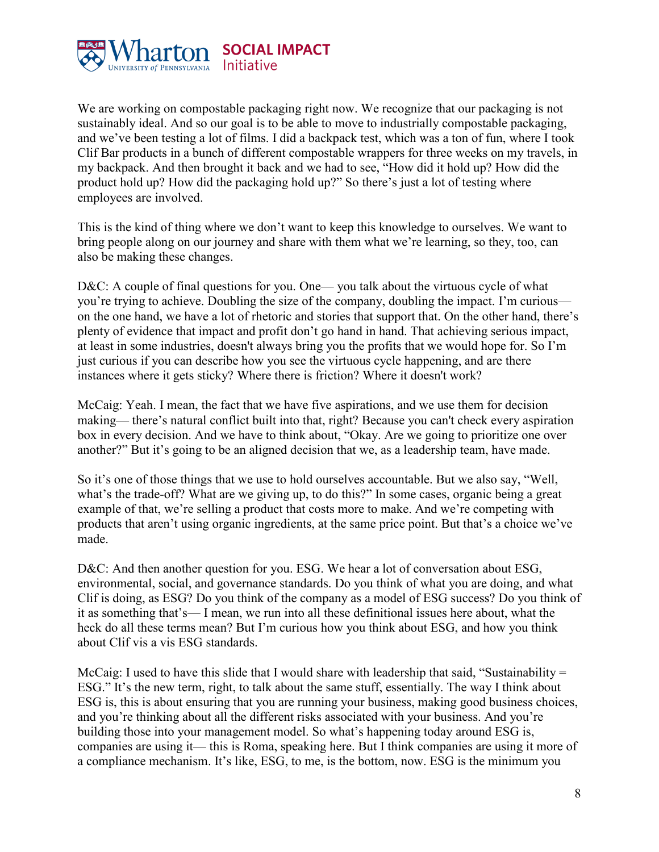

We are working on compostable packaging right now. We recognize that our packaging is not sustainably ideal. And so our goal is to be able to move to industrially compostable packaging, and we've been testing a lot of films. I did a backpack test, which was a ton of fun, where I took Clif Bar products in a bunch of different compostable wrappers for three weeks on my travels, in my backpack. And then brought it back and we had to see, "How did it hold up? How did the product hold up? How did the packaging hold up?" So there's just a lot of testing where employees are involved.

This is the kind of thing where we don't want to keep this knowledge to ourselves. We want to bring people along on our journey and share with them what we're learning, so they, too, can also be making these changes.

D&C: A couple of final questions for you. One— you talk about the virtuous cycle of what you're trying to achieve. Doubling the size of the company, doubling the impact. I'm curious on the one hand, we have a lot of rhetoric and stories that support that. On the other hand, there's plenty of evidence that impact and profit don't go hand in hand. That achieving serious impact, at least in some industries, doesn't always bring you the profits that we would hope for. So I'm just curious if you can describe how you see the virtuous cycle happening, and are there instances where it gets sticky? Where there is friction? Where it doesn't work?

McCaig: Yeah. I mean, the fact that we have five aspirations, and we use them for decision making— there's natural conflict built into that, right? Because you can't check every aspiration box in every decision. And we have to think about, "Okay. Are we going to prioritize one over another?" But it's going to be an aligned decision that we, as a leadership team, have made.

So it's one of those things that we use to hold ourselves accountable. But we also say, "Well, what's the trade-off? What are we giving up, to do this?" In some cases, organic being a great example of that, we're selling a product that costs more to make. And we're competing with products that aren't using organic ingredients, at the same price point. But that's a choice we've made.

D&C: And then another question for you. ESG. We hear a lot of conversation about ESG, environmental, social, and governance standards. Do you think of what you are doing, and what Clif is doing, as ESG? Do you think of the company as a model of ESG success? Do you think of it as something that's— I mean, we run into all these definitional issues here about, what the heck do all these terms mean? But I'm curious how you think about ESG, and how you think about Clif vis a vis ESG standards.

McCaig: I used to have this slide that I would share with leadership that said, "Sustainability  $=$ ESG." It's the new term, right, to talk about the same stuff, essentially. The way I think about ESG is, this is about ensuring that you are running your business, making good business choices, and you're thinking about all the different risks associated with your business. And you're building those into your management model. So what's happening today around ESG is, companies are using it— this is Roma, speaking here. But I think companies are using it more of a compliance mechanism. It's like, ESG, to me, is the bottom, now. ESG is the minimum you